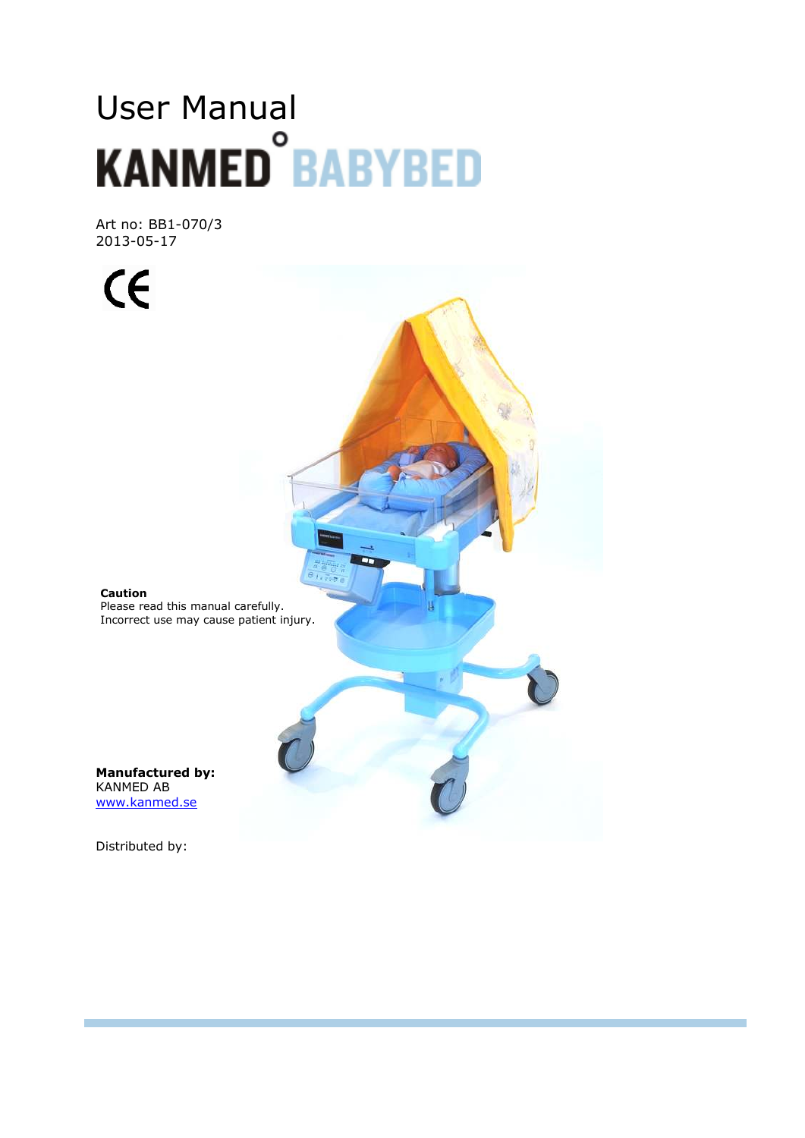# User Manual<br>KANMED<sup>°</sup>BABYBED

Art no: BB1-070/3 2013-05-17

 $C<sub>f</sub>$ 

**Caution**  Please read this manual carefully. Incorrect use may cause patient injury.

**Manufactured by:**  KANMED AB www.kanmed.se

Distributed by: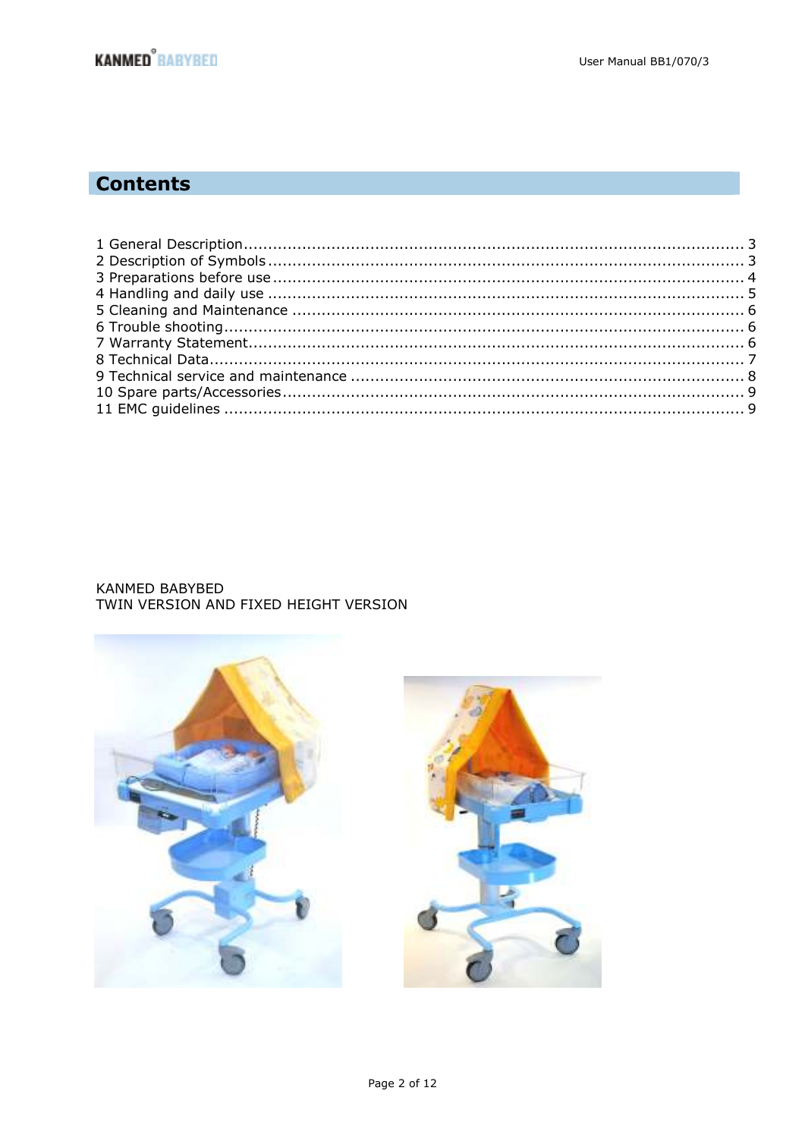# **Contents**

# KANMED BABYBED TWIN VERSION AND FIXED HEIGHT VERSION

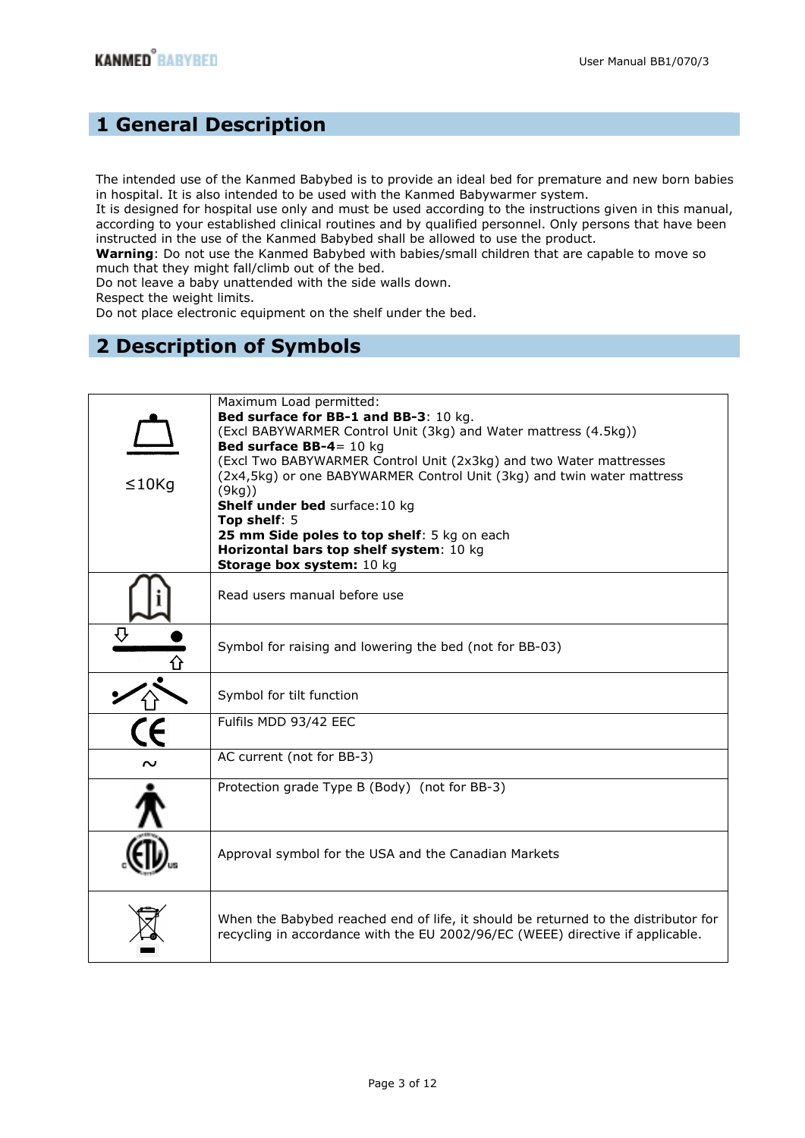# **1 General Description**

The intended use of the Kanmed Babybed is to provide an ideal bed for premature and new born babies in hospital. It is also intended to be used with the Kanmed Babywarmer system.

It is designed for hospital use only and must be used according to the instructions given in this manual, according to your established clinical routines and by qualified personnel. Only persons that have been instructed in the use of the Kanmed Babybed shall be allowed to use the product.

**Warning**: Do not use the Kanmed Babybed with babies/small children that are capable to move so much that they might fall/climb out of the bed.

Do not leave a baby unattended with the side walls down.

Respect the weight limits.

Do not place electronic equipment on the shelf under the bed.

# **2 Description of Symbols**

| $\leq$ 10 $Kq$ | Maximum Load permitted:<br>Bed surface for BB-1 and BB-3: 10 kg.<br>(Excl BABYWARMER Control Unit (3kg) and Water mattress (4.5kg))<br>Bed surface $BB-4 = 10$ kg<br>(Excl Two BABYWARMER Control Unit (2x3kg) and two Water mattresses<br>(2x4,5kg) or one BABYWARMER Control Unit (3kg) and twin water mattress<br>(9kg)<br>Shelf under bed surface: 10 kg<br>Top shelf: $5$<br>25 mm Side poles to top shelf: 5 kg on each<br>Horizontal bars top shelf system: 10 kg |
|----------------|--------------------------------------------------------------------------------------------------------------------------------------------------------------------------------------------------------------------------------------------------------------------------------------------------------------------------------------------------------------------------------------------------------------------------------------------------------------------------|
|                | Storage box system: 10 kg                                                                                                                                                                                                                                                                                                                                                                                                                                                |
|                | Read users manual before use                                                                                                                                                                                                                                                                                                                                                                                                                                             |
|                | Symbol for raising and lowering the bed (not for BB-03)                                                                                                                                                                                                                                                                                                                                                                                                                  |
|                | Symbol for tilt function                                                                                                                                                                                                                                                                                                                                                                                                                                                 |
|                | Fulfils MDD 93/42 EEC                                                                                                                                                                                                                                                                                                                                                                                                                                                    |
|                | AC current (not for BB-3)                                                                                                                                                                                                                                                                                                                                                                                                                                                |
|                | Protection grade Type B (Body) (not for BB-3)                                                                                                                                                                                                                                                                                                                                                                                                                            |
|                | Approval symbol for the USA and the Canadian Markets                                                                                                                                                                                                                                                                                                                                                                                                                     |
|                | When the Babybed reached end of life, it should be returned to the distributor for<br>recycling in accordance with the EU 2002/96/EC (WEEE) directive if applicable.                                                                                                                                                                                                                                                                                                     |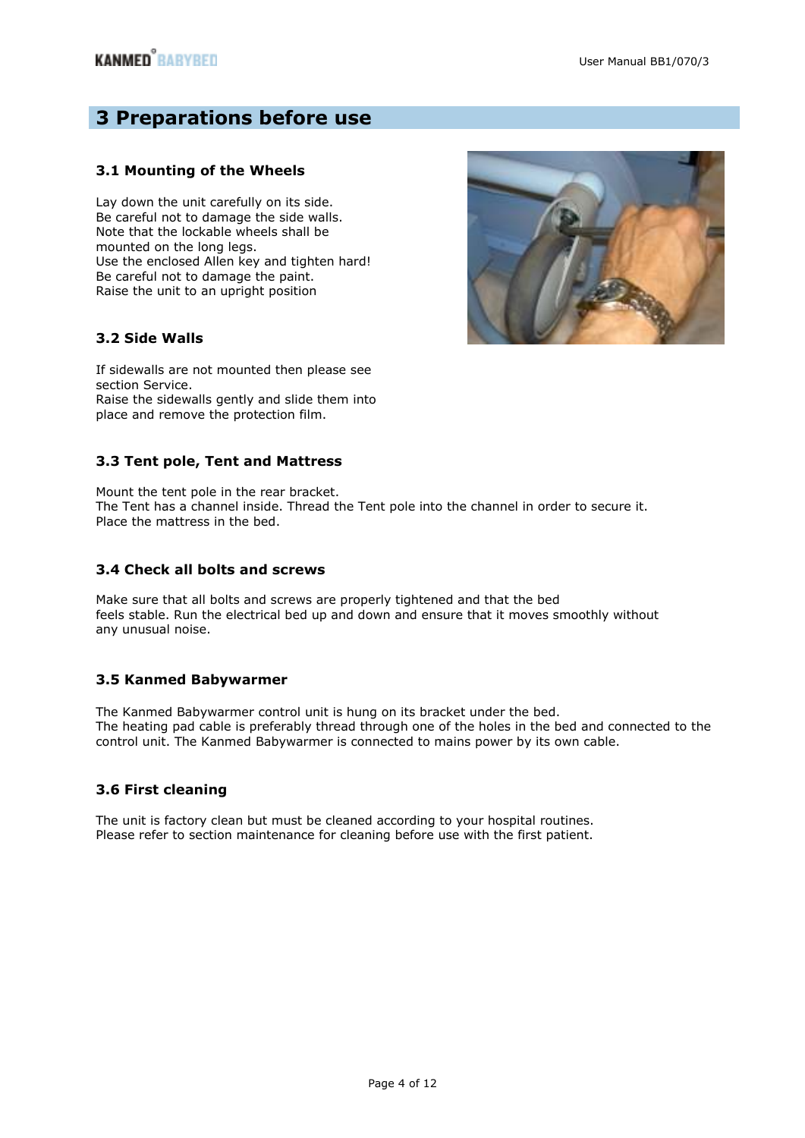# **3 Preparations before use**

# **3.1 Mounting of the Wheels**

Lay down the unit carefully on its side. Be careful not to damage the side walls. Note that the lockable wheels shall be mounted on the long legs. Use the enclosed Allen key and tighten hard! Be careful not to damage the paint. Raise the unit to an upright position



# **3.2 Side Walls**

If sidewalls are not mounted then please see section Service. Raise the sidewalls gently and slide them into place and remove the protection film.

# **3.3 Tent pole, Tent and Mattress**

Mount the tent pole in the rear bracket. The Tent has a channel inside. Thread the Tent pole into the channel in order to secure it. Place the mattress in the bed.

# **3.4 Check all bolts and screws**

Make sure that all bolts and screws are properly tightened and that the bed feels stable. Run the electrical bed up and down and ensure that it moves smoothly without any unusual noise.

# **3.5 Kanmed Babywarmer**

The Kanmed Babywarmer control unit is hung on its bracket under the bed. The heating pad cable is preferably thread through one of the holes in the bed and connected to the control unit. The Kanmed Babywarmer is connected to mains power by its own cable.

# **3.6 First cleaning**

The unit is factory clean but must be cleaned according to your hospital routines. Please refer to section maintenance for cleaning before use with the first patient.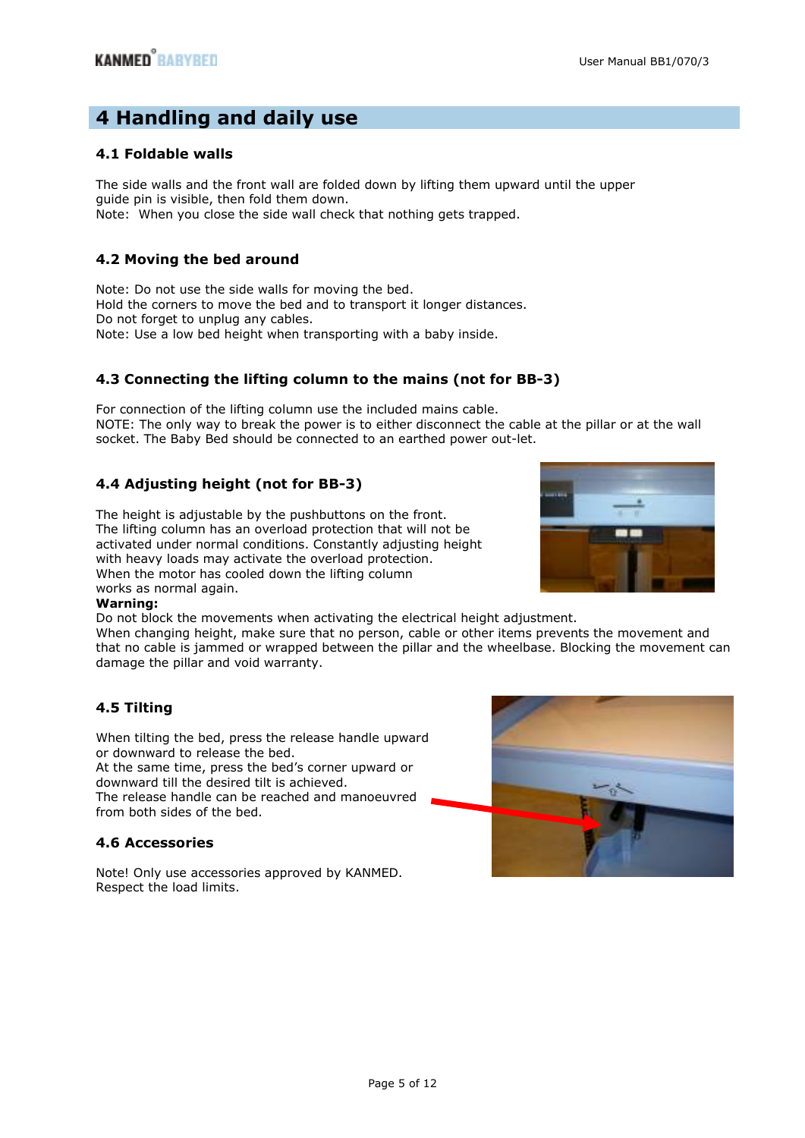# **4 Handling and daily use**

# **4.1 Foldable walls**

The side walls and the front wall are folded down by lifting them upward until the upper guide pin is visible, then fold them down. Note: When you close the side wall check that nothing gets trapped.

# **4.2 Moving the bed around**

Note: Do not use the side walls for moving the bed. Hold the corners to move the bed and to transport it longer distances. Do not forget to unplug any cables. Note: Use a low bed height when transporting with a baby inside.

# **4.3 Connecting the lifting column to the mains (not for BB-3)**

For connection of the lifting column use the included mains cable. NOTE: The only way to break the power is to either disconnect the cable at the pillar or at the wall socket. The Baby Bed should be connected to an earthed power out-let.

# **4.4 Adjusting height (not for BB-3)**

The height is adjustable by the pushbuttons on the front. The lifting column has an overload protection that will not be activated under normal conditions. Constantly adjusting height with heavy loads may activate the overload protection. When the motor has cooled down the lifting column works as normal again.



### **Warning:**

Do not block the movements when activating the electrical height adjustment.

When changing height, make sure that no person, cable or other items prevents the movement and that no cable is jammed or wrapped between the pillar and the wheelbase. Blocking the movement can damage the pillar and void warranty.

# **4.5 Tilting**

When tilting the bed, press the release handle upward or downward to release the bed.

At the same time, press the bed's corner upward or downward till the desired tilt is achieved. The release handle can be reached and manoeuvred from both sides of the bed.

# **4.6 Accessories**

Note! Only use accessories approved by KANMED. Respect the load limits.

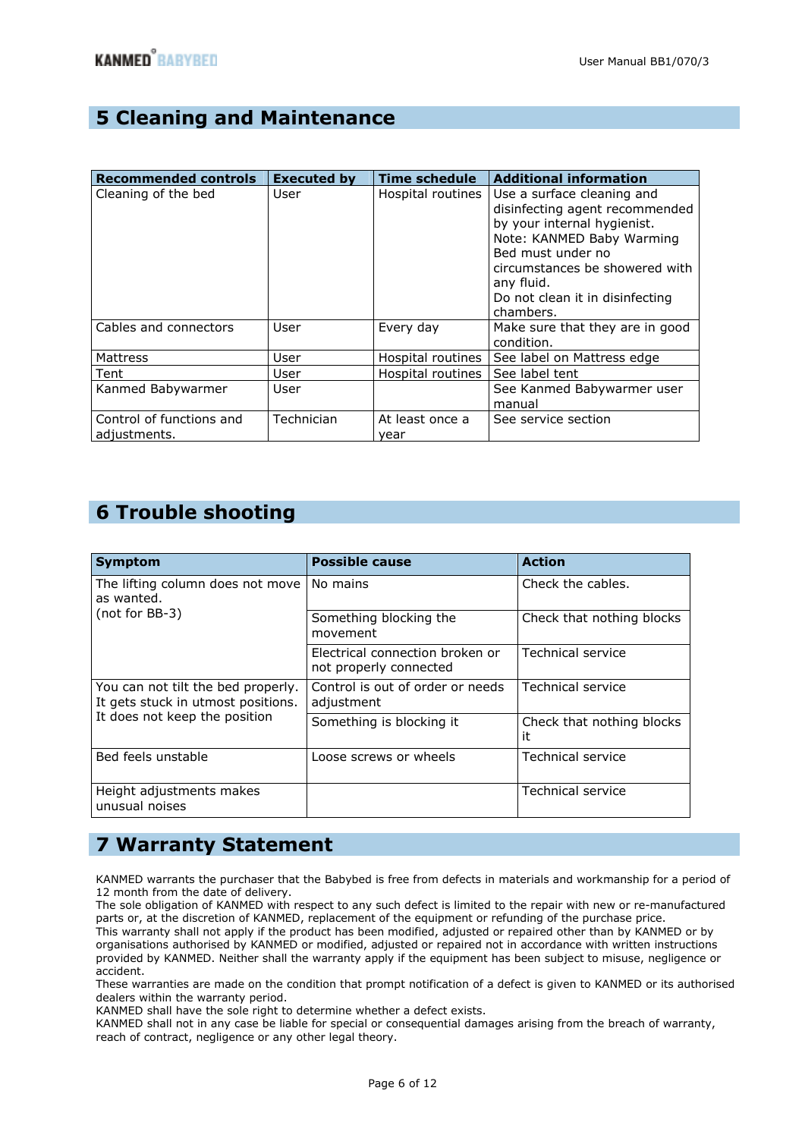# **5 Cleaning and Maintenance**

| <b>Recommended controls</b>              | <b>Executed by</b> | <b>Time schedule</b>    | <b>Additional information</b>                                                                                                                                                                                                                 |
|------------------------------------------|--------------------|-------------------------|-----------------------------------------------------------------------------------------------------------------------------------------------------------------------------------------------------------------------------------------------|
| Cleaning of the bed                      | User               | Hospital routines       | Use a surface cleaning and<br>disinfecting agent recommended<br>by your internal hygienist.<br>Note: KANMED Baby Warming<br>Bed must under no<br>circumstances be showered with<br>any fluid.<br>Do not clean it in disinfecting<br>chambers. |
| Cables and connectors                    | User               | Every day               | Make sure that they are in good<br>condition.                                                                                                                                                                                                 |
| <b>Mattress</b>                          | User               | Hospital routines       | See label on Mattress edge                                                                                                                                                                                                                    |
| Tent                                     | User               | Hospital routines       | See label tent                                                                                                                                                                                                                                |
| Kanmed Babywarmer                        | User               |                         | See Kanmed Babywarmer user<br>manual                                                                                                                                                                                                          |
| Control of functions and<br>adjustments. | Technician         | At least once a<br>year | See service section                                                                                                                                                                                                                           |

# **6 Trouble shooting**

| <b>Symptom</b>                                                                                            | <b>Possible cause</b>                                     | <b>Action</b>                   |
|-----------------------------------------------------------------------------------------------------------|-----------------------------------------------------------|---------------------------------|
| The lifting column does not move<br>as wanted.<br>(not for BB-3)                                          | No mains                                                  | Check the cables.               |
|                                                                                                           | Something blocking the<br>movement                        | Check that nothing blocks       |
|                                                                                                           | Electrical connection broken or<br>not properly connected | Technical service               |
| You can not tilt the bed properly.<br>It gets stuck in utmost positions.<br>It does not keep the position | Control is out of order or needs<br>adjustment            | <b>Technical service</b>        |
|                                                                                                           | Something is blocking it                                  | Check that nothing blocks<br>it |
| Bed feels unstable                                                                                        | Loose screws or wheels                                    | Technical service               |
| Height adjustments makes<br>unusual noises                                                                |                                                           | Technical service               |

# **7 Warranty Statement**

KANMED warrants the purchaser that the Babybed is free from defects in materials and workmanship for a period of 12 month from the date of delivery.

The sole obligation of KANMED with respect to any such defect is limited to the repair with new or re-manufactured parts or, at the discretion of KANMED, replacement of the equipment or refunding of the purchase price. This warranty shall not apply if the product has been modified, adjusted or repaired other than by KANMED or by organisations authorised by KANMED or modified, adjusted or repaired not in accordance with written instructions provided by KANMED. Neither shall the warranty apply if the equipment has been subject to misuse, negligence or accident.

These warranties are made on the condition that prompt notification of a defect is given to KANMED or its authorised dealers within the warranty period.

KANMED shall have the sole right to determine whether a defect exists.

KANMED shall not in any case be liable for special or consequential damages arising from the breach of warranty, reach of contract, negligence or any other legal theory.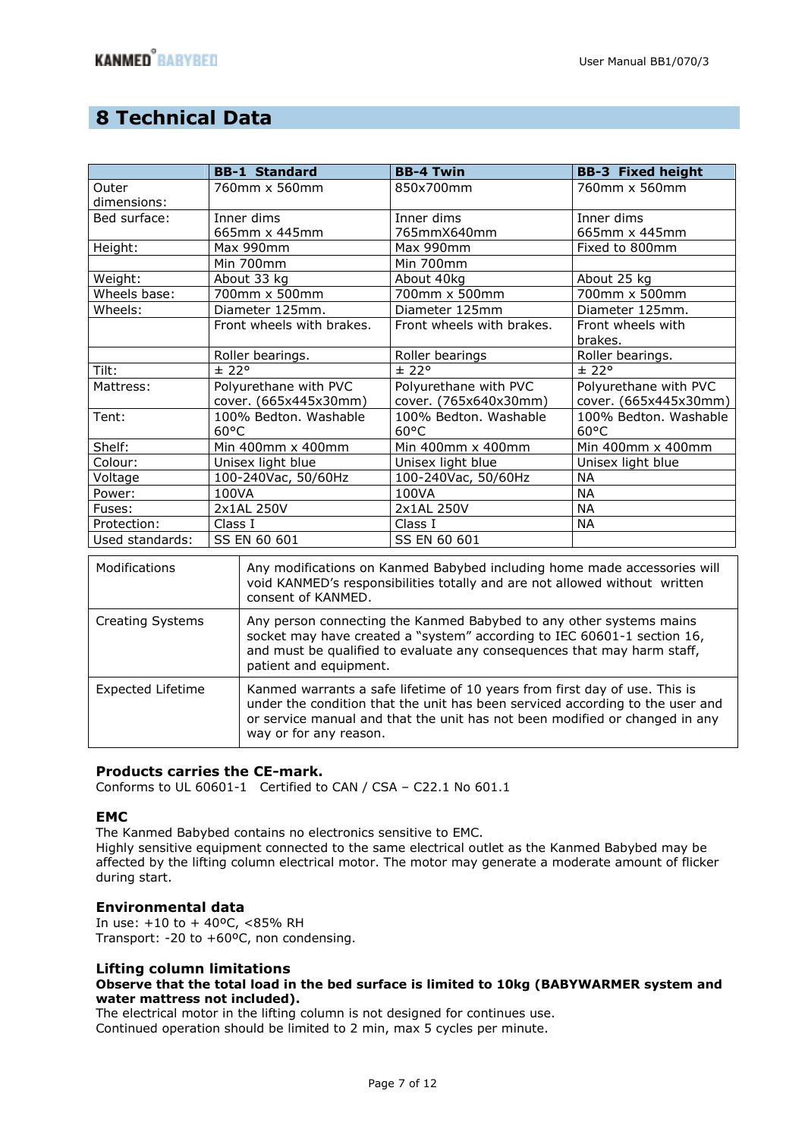# **8 Technical Data**

|                 | <b>BB-1 Standard</b>      | <b>BB-4 Twin</b>          | <b>BB-3 Fixed height</b> |
|-----------------|---------------------------|---------------------------|--------------------------|
| Outer           | 760mm x 560mm             | 850x700mm                 | 760mm x 560mm            |
| dimensions:     |                           |                           |                          |
| Bed surface:    | Inner dims                | Inner dims                | Inner dims               |
|                 | 665mm x 445mm             | 765mmX640mm               | 665mm x 445mm            |
| Height:         | Max 990mm                 | Max 990mm                 | Fixed to 800mm           |
|                 | Min 700mm                 | Min 700mm                 |                          |
| Weight:         | About 33 kg               | About 40kg                | About 25 kg              |
| Wheels base:    | 700mm x 500mm             | 700mm x 500mm             | 700mm x 500mm            |
| Wheels:         | Diameter 125mm.           | Diameter 125mm            | Diameter 125mm.          |
|                 | Front wheels with brakes. | Front wheels with brakes. | Front wheels with        |
|                 |                           |                           | brakes.                  |
|                 | Roller bearings.          | Roller bearings           | Roller bearings.         |
| Tilt:           | ± 22°                     | ± 22°                     | ± 22°                    |
| Mattress:       | Polyurethane with PVC     | Polyurethane with PVC     | Polyurethane with PVC    |
|                 | cover. (665x445x30mm)     | cover. (765x640x30mm)     | cover. (665x445x30mm)    |
| Tent:           | 100% Bedton. Washable     | 100% Bedton, Washable     | 100% Bedton. Washable    |
|                 | $60^{\circ}$ C            | $60^{\circ}$ C            | $60^{\circ}$ C           |
| Shelf:          | Min 400mm x 400mm         | Min 400mm x 400mm         | Min 400mm x 400mm        |
| Colour:         | Unisex light blue         | Unisex light blue         | Unisex light blue        |
| Voltage         | 100-240Vac, 50/60Hz       | 100-240Vac, 50/60Hz       | <b>NA</b>                |
| Power:          | 100VA                     | 100VA                     | <b>NA</b>                |
| Fuses:          | 2x1AL 250V                | 2x1AL 250V                | <b>NA</b>                |
| Protection:     | Class I                   | Class I                   | <b>NA</b>                |
| Used standards: | SS EN 60 601              | SS EN 60 601              |                          |
|                 |                           |                           |                          |

| Modifications           | Any modifications on Kanmed Babybed including home made accessories will<br>void KANMED's responsibilities totally and are not allowed without written<br>consent of KANMED.                                                                                         |
|-------------------------|----------------------------------------------------------------------------------------------------------------------------------------------------------------------------------------------------------------------------------------------------------------------|
| <b>Creating Systems</b> | Any person connecting the Kanmed Babybed to any other systems mains<br>socket may have created a "system" according to IEC 60601-1 section 16,<br>and must be qualified to evaluate any consequences that may harm staff,<br>patient and equipment.                  |
| Expected Lifetime       | Kanmed warrants a safe lifetime of 10 years from first day of use. This is<br>under the condition that the unit has been serviced according to the user and<br>or service manual and that the unit has not been modified or changed in any<br>way or for any reason. |

## **Products carries the CE-mark.**

Conforms to UL 60601-1 Certified to CAN / CSA – C22.1 No 601.1

### **EMC**

The Kanmed Babybed contains no electronics sensitive to EMC.

Highly sensitive equipment connected to the same electrical outlet as the Kanmed Babybed may be affected by the lifting column electrical motor. The motor may generate a moderate amount of flicker during start.

### **Environmental data**

In use: +10 to + 40ºC, <85% RH Transport: -20 to +60ºC, non condensing.

### **Lifting column limitations**

### **Observe that the total load in the bed surface is limited to 10kg (BABYWARMER system and water mattress not included).**

The electrical motor in the lifting column is not designed for continues use. Continued operation should be limited to 2 min, max 5 cycles per minute.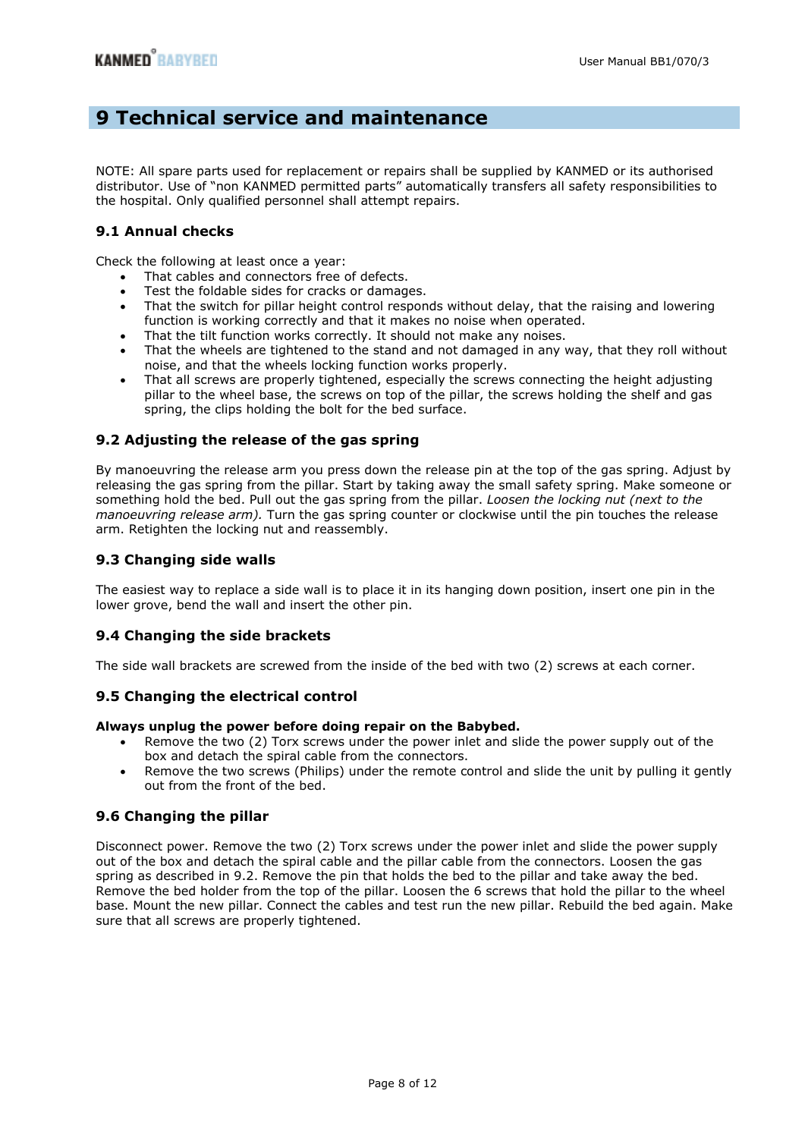# **9 Technical service and maintenance**

NOTE: All spare parts used for replacement or repairs shall be supplied by KANMED or its authorised distributor. Use of "non KANMED permitted parts" automatically transfers all safety responsibilities to the hospital. Only qualified personnel shall attempt repairs.

## **9.1 Annual checks**

Check the following at least once a year:

- That cables and connectors free of defects.
- Test the foldable sides for cracks or damages.
- That the switch for pillar height control responds without delay, that the raising and lowering function is working correctly and that it makes no noise when operated.
- That the tilt function works correctly. It should not make any noises.
- That the wheels are tightened to the stand and not damaged in any way, that they roll without noise, and that the wheels locking function works properly.
- That all screws are properly tightened, especially the screws connecting the height adjusting pillar to the wheel base, the screws on top of the pillar, the screws holding the shelf and gas spring, the clips holding the bolt for the bed surface.

## **9.2 Adjusting the release of the gas spring**

By manoeuvring the release arm you press down the release pin at the top of the gas spring. Adjust by releasing the gas spring from the pillar. Start by taking away the small safety spring. Make someone or something hold the bed. Pull out the gas spring from the pillar. *Loosen the locking nut (next to the manoeuvring release arm).* Turn the gas spring counter or clockwise until the pin touches the release arm. Retighten the locking nut and reassembly.

### **9.3 Changing side walls**

The easiest way to replace a side wall is to place it in its hanging down position, insert one pin in the lower grove, bend the wall and insert the other pin.

## **9.4 Changing the side brackets**

The side wall brackets are screwed from the inside of the bed with two (2) screws at each corner.

# **9.5 Changing the electrical control**

### **Always unplug the power before doing repair on the Babybed.**

- Remove the two (2) Torx screws under the power inlet and slide the power supply out of the box and detach the spiral cable from the connectors.
- Remove the two screws (Philips) under the remote control and slide the unit by pulling it gently out from the front of the bed.

## **9.6 Changing the pillar**

Disconnect power. Remove the two (2) Torx screws under the power inlet and slide the power supply out of the box and detach the spiral cable and the pillar cable from the connectors. Loosen the gas spring as described in 9.2. Remove the pin that holds the bed to the pillar and take away the bed. Remove the bed holder from the top of the pillar. Loosen the 6 screws that hold the pillar to the wheel base. Mount the new pillar. Connect the cables and test run the new pillar. Rebuild the bed again. Make sure that all screws are properly tightened.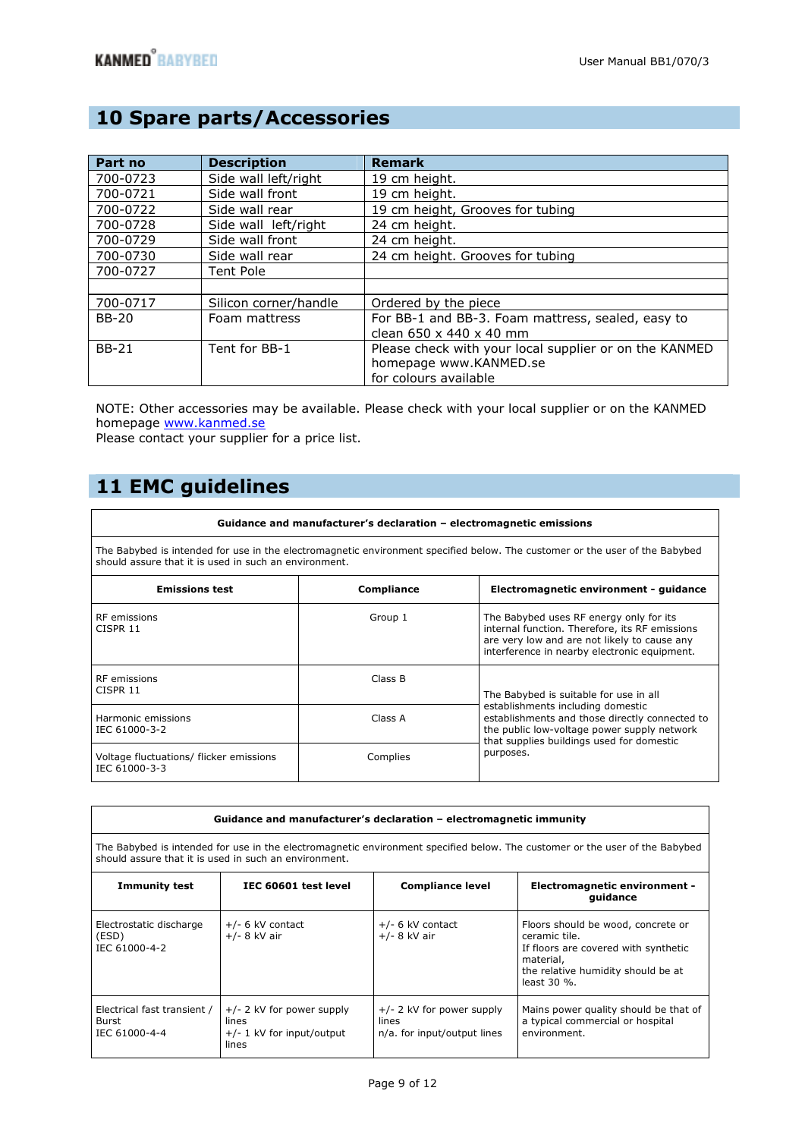# **10 Spare parts/Accessories**

| Part no      | <b>Description</b>    | <b>Remark</b>                                          |
|--------------|-----------------------|--------------------------------------------------------|
| 700-0723     | Side wall left/right  | 19 cm height.                                          |
| 700-0721     | Side wall front       | 19 cm height.                                          |
| 700-0722     | Side wall rear        | 19 cm height, Grooves for tubing                       |
| 700-0728     | Side wall left/right  | 24 cm height.                                          |
| 700-0729     | Side wall front       | 24 cm height.                                          |
| 700-0730     | Side wall rear        | 24 cm height. Grooves for tubing                       |
| 700-0727     | Tent Pole             |                                                        |
|              |                       |                                                        |
| 700-0717     | Silicon corner/handle | Ordered by the piece                                   |
| <b>BB-20</b> | Foam mattress         | For BB-1 and BB-3. Foam mattress, sealed, easy to      |
|              |                       | clean $650 \times 440 \times 40$ mm                    |
| <b>BB-21</b> | Tent for BB-1         | Please check with your local supplier or on the KANMED |
|              |                       | homepage www.KANMED.se                                 |
|              |                       | for colours available                                  |

NOTE: Other accessories may be available. Please check with your local supplier or on the KANMED homepage www.kanmed.se

Please contact your supplier for a price list.

# **11 EMC guidelines**

### **Guidance and manufacturer's declaration – electromagnetic emissions** The Babybed is intended for use in the electromagnetic environment specified below. The customer or the user of the Babybed should assure that it is used in such an environment. **Emissions test Compliance Electromagnetic environment - guidance** RF emissions CISPR 11 Group 1 The Babybed uses RF energy only for its internal function. Therefore, its RF emissions are very low and are not likely to cause any interference in nearby electronic equipment. —<br>PE emissic

| l RF emissions<br>CISPR 11                                 | Class B  | The Babybed is suitable for use in all<br>establishments including domestic<br>establishments and those directly connected to<br>the public low-voltage power supply network<br>that supplies buildings used for domestic |  |
|------------------------------------------------------------|----------|---------------------------------------------------------------------------------------------------------------------------------------------------------------------------------------------------------------------------|--|
| Harmonic emissions<br>l IEC 61000-3-2                      | Class A  |                                                                                                                                                                                                                           |  |
| Voltage fluctuations/ flicker emissions<br>I IEC 61000-3-3 | Complies | purposes.                                                                                                                                                                                                                 |  |

| Guidance and manufacturer's declaration – electromagnetic immunity                                                                                                                   |                                                                              |                                                                     |                                                                                                                                                                  |  |
|--------------------------------------------------------------------------------------------------------------------------------------------------------------------------------------|------------------------------------------------------------------------------|---------------------------------------------------------------------|------------------------------------------------------------------------------------------------------------------------------------------------------------------|--|
| The Babybed is intended for use in the electromagnetic environment specified below. The customer or the user of the Babybed<br>should assure that it is used in such an environment. |                                                                              |                                                                     |                                                                                                                                                                  |  |
| <b>Immunity test</b><br>IEC 60601 test level<br><b>Compliance level</b><br>Electromagnetic environment -<br>quidance                                                                 |                                                                              |                                                                     |                                                                                                                                                                  |  |
| Electrostatic discharge<br>(ESD)<br>IEC 61000-4-2                                                                                                                                    | $+/- 6$ kV contact<br>$+/- 8$ kV air                                         | $+/- 6$ kV contact<br>$+/- 8$ kV air                                | Floors should be wood, concrete or<br>ceramic tile.<br>If floors are covered with synthetic<br>material,<br>the relative humidity should be at<br>least $30\%$ . |  |
| Electrical fast transient /<br>Burst<br>IEC 61000-4-4                                                                                                                                | $+/- 2$ kV for power supply<br>lines<br>$+/- 1$ kV for input/output<br>lines | $+/- 2$ kV for power supply<br>lines<br>n/a. for input/output lines | Mains power quality should be that of<br>a typical commercial or hospital<br>environment.                                                                        |  |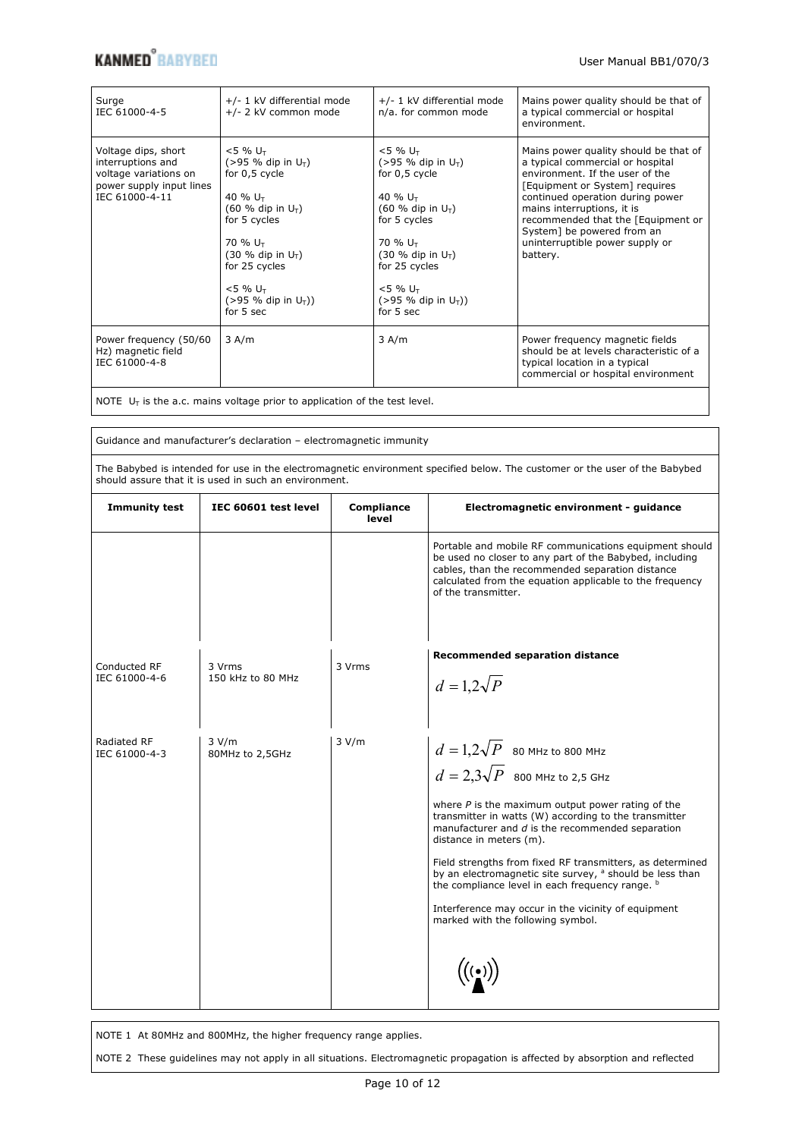# **KANMED**<sup>8</sup> BABYBED User Manual BB1/070/3

| Surge<br>IEC 61000-4-5                                                                                          | +/- 1 kV differential mode<br>+/- 2 kV common mode                                                                                                                                                                                                        | +/- 1 kV differential mode<br>n/a. for common mode                                                                                                                                                                                                          | Mains power quality should be that of<br>a typical commercial or hospital<br>environment.                                                                                                                                                                                                                                           |
|-----------------------------------------------------------------------------------------------------------------|-----------------------------------------------------------------------------------------------------------------------------------------------------------------------------------------------------------------------------------------------------------|-------------------------------------------------------------------------------------------------------------------------------------------------------------------------------------------------------------------------------------------------------------|-------------------------------------------------------------------------------------------------------------------------------------------------------------------------------------------------------------------------------------------------------------------------------------------------------------------------------------|
| Voltage dips, short<br>interruptions and<br>voltage variations on<br>power supply input lines<br>IEC 61000-4-11 | $< 5 \% U_T$<br>$(>95\%$ dip in U <sub>T</sub> )<br>for 0,5 cycle<br>40 % $U_T$<br>$(60 %$ dip in $U_T$ )<br>for 5 cycles<br>70 % U <sub>T</sub><br>$(30 %$ dip in $U_T$ )<br>for 25 cycles<br>$< 5 \% U_{\tau}$<br>$(>95\%$ dip in $U_T$ ))<br>for 5 sec | $< 5 \% U_{\tau}$<br>$(>95\%$ dip in U <sub>T</sub> )<br>for 0,5 cycle<br>40 % $U_{T}$<br>$(60 %$ dip in $U_T$ )<br>for 5 cycles<br>70 % U <sub>T</sub><br>$(30 %$ dip in $U_T$ )<br>for 25 cycles<br>$< 5 \% U_T$<br>$(>95\%$ dip in $U_T$ ))<br>for 5 sec | Mains power quality should be that of<br>a typical commercial or hospital<br>environment. If the user of the<br>[Equipment or System] requires<br>continued operation during power<br>mains interruptions, it is<br>recommended that the [Equipment or<br>System] be powered from an<br>uninterruptible power supply or<br>battery. |
| Power frequency (50/60<br>Hz) magnetic field<br>IEC 61000-4-8                                                   | 3 A/m                                                                                                                                                                                                                                                     | 3 A/m                                                                                                                                                                                                                                                       | Power frequency magnetic fields<br>should be at levels characteristic of a<br>typical location in a typical<br>commercial or hospital environment                                                                                                                                                                                   |

NOTE  $U_T$  is the a.c. mains voltage prior to application of the test level.

Guidance and manufacturer's declaration – electromagnetic immunity

The Babybed is intended for use in the electromagnetic environment specified below. The customer or the user of the Babybed should assure that it is used in such an environment.

| <b>Immunity test</b>          | IEC 60601 test level        | <b>Compliance</b><br>level | Electromagnetic environment - guidance                                                                                                                                                                                                                   |
|-------------------------------|-----------------------------|----------------------------|----------------------------------------------------------------------------------------------------------------------------------------------------------------------------------------------------------------------------------------------------------|
|                               |                             |                            | Portable and mobile RF communications equipment should<br>be used no closer to any part of the Babybed, including<br>cables, than the recommended separation distance<br>calculated from the equation applicable to the frequency<br>of the transmitter. |
|                               |                             |                            | <b>Recommended separation distance</b>                                                                                                                                                                                                                   |
| Conducted RF<br>IEC 61000-4-6 | 3 Vrms<br>150 kHz to 80 MHz | 3 Vrms                     | $d=1,2\sqrt{P}$                                                                                                                                                                                                                                          |
|                               |                             |                            |                                                                                                                                                                                                                                                          |
| Radiated RF<br>IEC 61000-4-3  | 3 V/m<br>80MHz to 2,5GHz    | 3 V/m                      | $d=1,2\sqrt{P}$ 80 MHz to 800 MHz                                                                                                                                                                                                                        |
|                               |                             |                            | $d=2,3\sqrt{P}$ 800 MHz to 2,5 GHz                                                                                                                                                                                                                       |
|                               |                             |                            | where $P$ is the maximum output power rating of the<br>transmitter in watts (W) according to the transmitter<br>manufacturer and d is the recommended separation<br>distance in meters (m).                                                              |
|                               |                             |                            | Field strengths from fixed RF transmitters, as determined<br>by an electromagnetic site survey, <sup>a</sup> should be less than<br>the compliance level in each frequency range. b                                                                      |
|                               |                             |                            | Interference may occur in the vicinity of equipment<br>marked with the following symbol.                                                                                                                                                                 |
|                               |                             |                            |                                                                                                                                                                                                                                                          |
|                               |                             |                            |                                                                                                                                                                                                                                                          |

NOTE 1 At 80MHz and 800MHz, the higher frequency range applies.

NOTE 2 These guidelines may not apply in all situations. Electromagnetic propagation is affected by absorption and reflected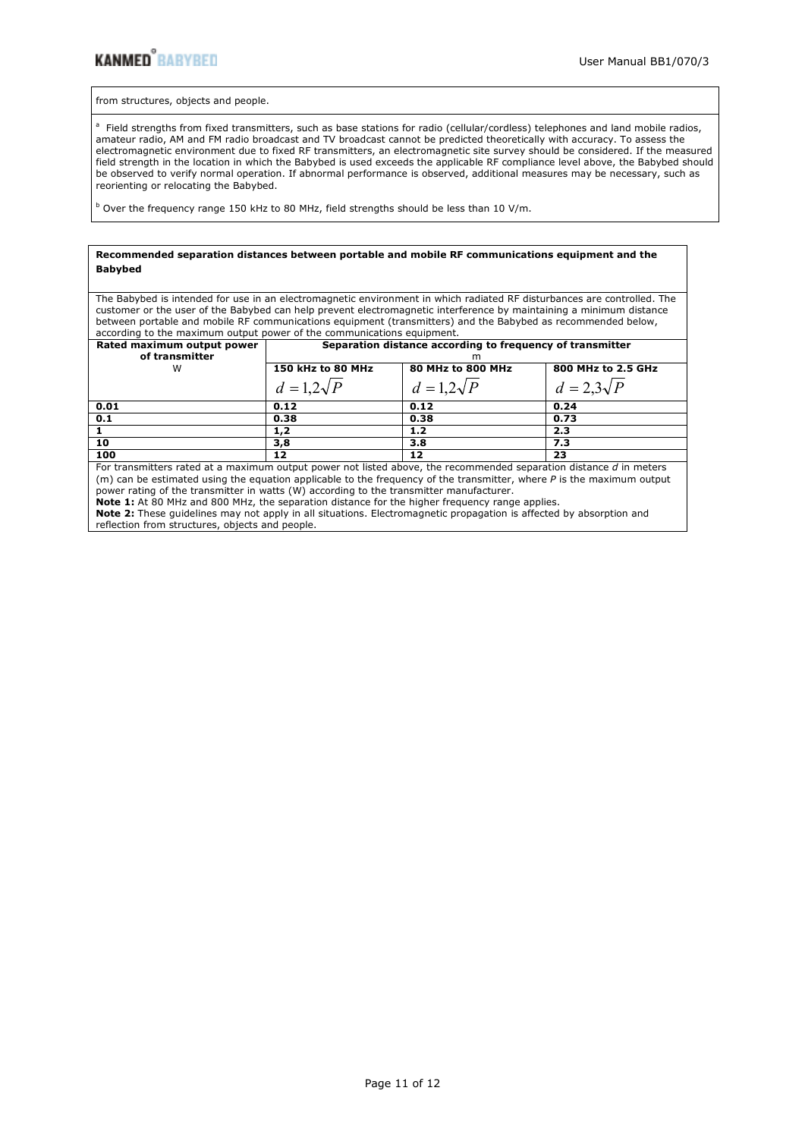from structures, objects and people.

<sup>a</sup> Field strengths from fixed transmitters, such as base stations for radio (cellular/cordless) telephones and land mobile radios, amateur radio, AM and FM radio broadcast and TV broadcast cannot be predicted theoretically with accuracy. To assess the electromagnetic environment due to fixed RF transmitters, an electromagnetic site survey should be considered. If the measured field strength in the location in which the Babybed is used exceeds the applicable RF compliance level above, the Babybed should be observed to verify normal operation. If abnormal performance is observed, additional measures may be necessary, such as reorienting or relocating the Babybed.

<sup>b</sup> Over the frequency range 150 kHz to 80 MHz, field strengths should be less than 10 V/m.

| Recommended separation distances between portable and mobile RF communications equipment and the                        |                                                                        |  |
|-------------------------------------------------------------------------------------------------------------------------|------------------------------------------------------------------------|--|
| <b>Babybed</b>                                                                                                          |                                                                        |  |
|                                                                                                                         |                                                                        |  |
| The Babybed is intended for use in an electromagnetic environment in which radiated RF disturbances are controlled. The |                                                                        |  |
| customer or the user of the Babybed can help prevent electromagnetic interference by maintaining a minimum distance     |                                                                        |  |
| between portable and mobile RF communications equipment (transmitters) and the Babybed as recommended below,            |                                                                        |  |
|                                                                                                                         | according to the maximum output power of the communications equipment. |  |
| Rated maximum output power                                                                                              | Separation distance according to frequency of transmitter              |  |
| of tranemitter                                                                                                          |                                                                        |  |

| of transmitter | m                 |                   |                    |
|----------------|-------------------|-------------------|--------------------|
| W              | 150 kHz to 80 MHz | 80 MHz to 800 MHz | 800 MHz to 2.5 GHz |
|                | $d=1,2\sqrt{P}$   | $d=1,2\sqrt{P}$   | $d=2,3\sqrt{P}$    |
| 0.01           | 0.12              | 0.12              | 0.24               |
| 0.1            | 0.38              | 0.38              | 0.73               |
|                | 1,2               | 1.2               | 2.3                |
| 10             | 3,8               | 3.8               | 7.3                |
| 100            | 12                | 12                | 23                 |

For transmitters rated at a maximum output power not listed above, the recommended separation distance *d* in meters (m) can be estimated using the equation applicable to the frequency of the transmitter, where *P* is the maximum output power rating of the transmitter in watts (W) according to the transmitter manufacturer. **Note 1:** At 80 MHz and 800 MHz, the separation distance for the higher frequency range applies.

**Note 2:** These guidelines may not apply in all situations. Electromagnetic propagation is affected by absorption and reflection from structures, objects and people.